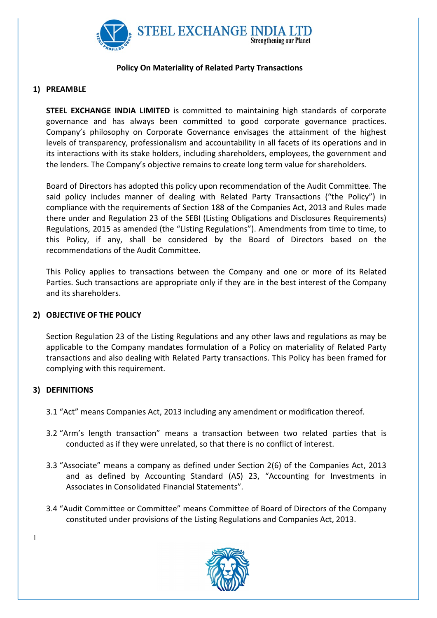

## Policy On Materiality of Related Party Transactions

## 1) PREAMBLE

STEEL EXCHANGE INDIA LIMITED is committed to maintaining high standards of corporate governance and has always been committed to good corporate governance practices. Company's philosophy on Corporate Governance envisages the attainment of the highest levels of transparency, professionalism and accountability in all facets of its operations and in its interactions with its stake holders, including shareholders, employees, the government and the lenders. The Company's objective remains to create long term value for shareholders.

Board of Directors has adopted this policy upon recommendation of the Audit Committee. The said policy includes manner of dealing with Related Party Transactions ("the Policy") in compliance with the requirements of Section 188 of the Companies Act, 2013 and Rules made there under and Regulation 23 of the SEBI (Listing Obligations and Disclosures Requirements) Regulations, 2015 as amended (the "Listing Regulations"). Amendments from time to time, to this Policy, if any, shall be considered by the Board of Directors based on the recommendations of the Audit Committee.

This Policy applies to transactions between the Company and one or more of its Related Parties. Such transactions are appropriate only if they are in the best interest of the Company and its shareholders.

### 2) OBJECTIVE OF THE POLICY

Section Regulation 23 of the Listing Regulations and any other laws and regulations as may be applicable to the Company mandates formulation of a Policy on materiality of Related Party transactions and also dealing with Related Party transactions. This Policy has been framed for complying with this requirement.

## 3) DEFINITIONS

- 3.1 "Act" means Companies Act, 2013 including any amendment or modification thereof.
- 3.2 "Arm's length transaction" means a transaction between two related parties that is conducted as if they were unrelated, so that there is no conflict of interest.
- 3.3 "Associate" means a company as defined under Section 2(6) of the Companies Act, 2013 and as defined by Accounting Standard (AS) 23, "Accounting for Investments in Associates in Consolidated Financial Statements".
- 3.4 "Audit Committee or Committee" means Committee of Board of Directors of the Company constituted under provisions of the Listing Regulations and Companies Act, 2013.

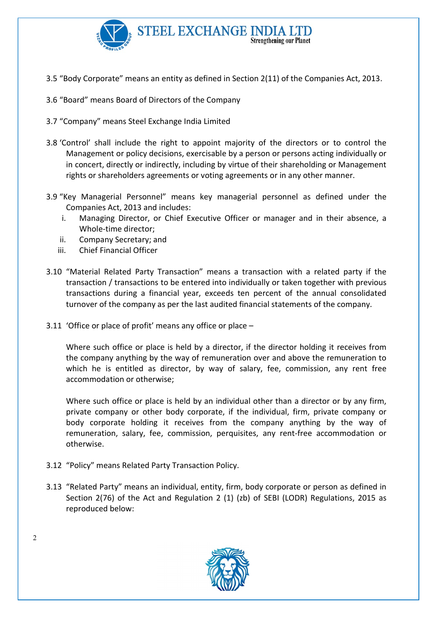

- 3.5 "Body Corporate" means an entity as defined in Section 2(11) of the Companies Act, 2013.
- 3.6 "Board" means Board of Directors of the Company
- 3.7 "Company" means Steel Exchange India Limited
- 3.8 'Control' shall include the right to appoint majority of the directors or to control the Management or policy decisions, exercisable by a person or persons acting individually or in concert, directly or indirectly, including by virtue of their shareholding or Management rights or shareholders agreements or voting agreements or in any other manner.
- 3.9 "Key Managerial Personnel" means key managerial personnel as defined under the Companies Act, 2013 and includes:
	- i. Managing Director, or Chief Executive Officer or manager and in their absence, a Whole-time director;
	- ii. Company Secretary; and
	- iii. Chief Financial Officer
- 3.10 "Material Related Party Transaction" means a transaction with a related party if the transaction / transactions to be entered into individually or taken together with previous transactions during a financial year, exceeds ten percent of the annual consolidated turnover of the company as per the last audited financial statements of the company.
- 3.11 'Office or place of profit' means any office or place –

Where such office or place is held by a director, if the director holding it receives from the company anything by the way of remuneration over and above the remuneration to which he is entitled as director, by way of salary, fee, commission, any rent free accommodation or otherwise;

Where such office or place is held by an individual other than a director or by any firm, private company or other body corporate, if the individual, firm, private company or body corporate holding it receives from the company anything by the way of remuneration, salary, fee, commission, perquisites, any rent-free accommodation or otherwise.

- 3.12 "Policy" means Related Party Transaction Policy.
- 3.13 "Related Party" means an individual, entity, firm, body corporate or person as defined in Section 2(76) of the Act and Regulation 2 (1) (zb) of SEBI (LODR) Regulations, 2015 as reproduced below:

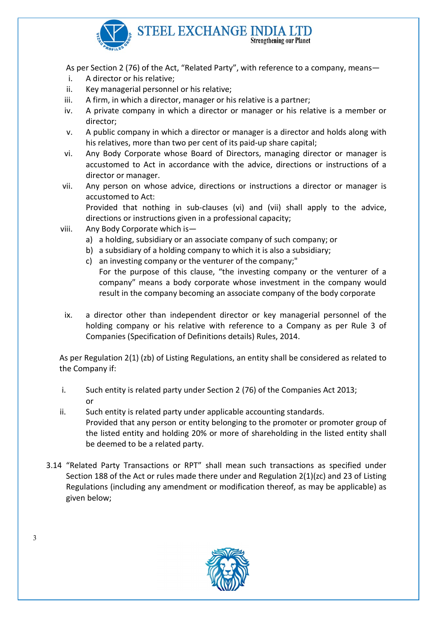

As per Section 2 (76) of the Act, "Related Party", with reference to a company, means—

- i. A director or his relative;
- ii. Key managerial personnel or his relative;
- iii. A firm, in which a director, manager or his relative is a partner;
- iv. A private company in which a director or manager or his relative is a member or director;
- v. A public company in which a director or manager is a director and holds along with his relatives, more than two per cent of its paid-up share capital;
- vi. Any Body Corporate whose Board of Directors, managing director or manager is accustomed to Act in accordance with the advice, directions or instructions of a director or manager.
- vii. Any person on whose advice, directions or instructions a director or manager is accustomed to Act: Provided that nothing in sub-clauses (vi) and (vii) shall apply to the advice,

directions or instructions given in a professional capacity;

- viii. Any Body Corporate which is
	- a) a holding, subsidiary or an associate company of such company; or
	- b) a subsidiary of a holding company to which it is also a subsidiary;
	- c) an investing company or the venturer of the company;" For the purpose of this clause, "the investing company or the venturer of a company" means a body corporate whose investment in the company would result in the company becoming an associate company of the body corporate
	- ix. a director other than independent director or key managerial personnel of the holding company or his relative with reference to a Company as per Rule 3 of Companies (Specification of Definitions details) Rules, 2014.

As per Regulation 2(1) (zb) of Listing Regulations, an entity shall be considered as related to the Company if:

- i. Such entity is related party under Section 2 (76) of the Companies Act 2013; or
- ii. Such entity is related party under applicable accounting standards. Provided that any person or entity belonging to the promoter or promoter group of the listed entity and holding 20% or more of shareholding in the listed entity shall be deemed to be a related party.
- 3.14 "Related Party Transactions or RPT" shall mean such transactions as specified under Section 188 of the Act or rules made there under and Regulation 2(1)(zc) and 23 of Listing Regulations (including any amendment or modification thereof, as may be applicable) as given below;

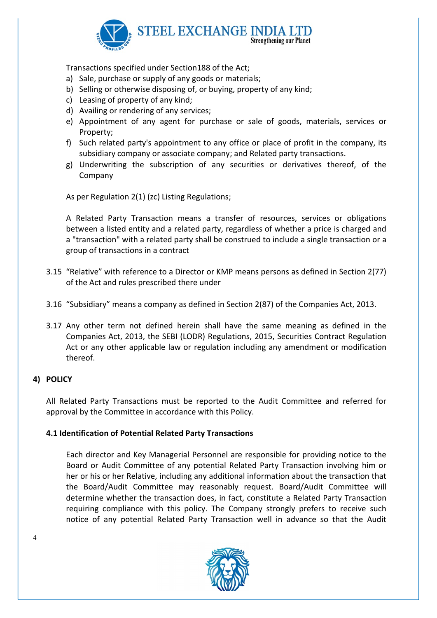

Transactions specified under Section188 of the Act;

- a) Sale, purchase or supply of any goods or materials;
- b) Selling or otherwise disposing of, or buying, property of any kind;
- c) Leasing of property of any kind;
- d) Availing or rendering of any services;
- e) Appointment of any agent for purchase or sale of goods, materials, services or Property;
- f) Such related party's appointment to any office or place of profit in the company, its subsidiary company or associate company; and Related party transactions.
- g) Underwriting the subscription of any securities or derivatives thereof, of the Company

As per Regulation 2(1) (zc) Listing Regulations;

A Related Party Transaction means a transfer of resources, services or obligations between a listed entity and a related party, regardless of whether a price is charged and a "transaction" with a related party shall be construed to include a single transaction or a group of transactions in a contract

- 3.15 "Relative" with reference to a Director or KMP means persons as defined in Section 2(77) of the Act and rules prescribed there under
- 3.16 "Subsidiary" means a company as defined in Section 2(87) of the Companies Act, 2013.
- 3.17 Any other term not defined herein shall have the same meaning as defined in the Companies Act, 2013, the SEBI (LODR) Regulations, 2015, Securities Contract Regulation Act or any other applicable law or regulation including any amendment or modification thereof.

## 4) POLICY

All Related Party Transactions must be reported to the Audit Committee and referred for approval by the Committee in accordance with this Policy.

### 4.1 Identification of Potential Related Party Transactions

Each director and Key Managerial Personnel are responsible for providing notice to the Board or Audit Committee of any potential Related Party Transaction involving him or her or his or her Relative, including any additional information about the transaction that the Board/Audit Committee may reasonably request. Board/Audit Committee will determine whether the transaction does, in fact, constitute a Related Party Transaction requiring compliance with this policy. The Company strongly prefers to receive such notice of any potential Related Party Transaction well in advance so that the Audit

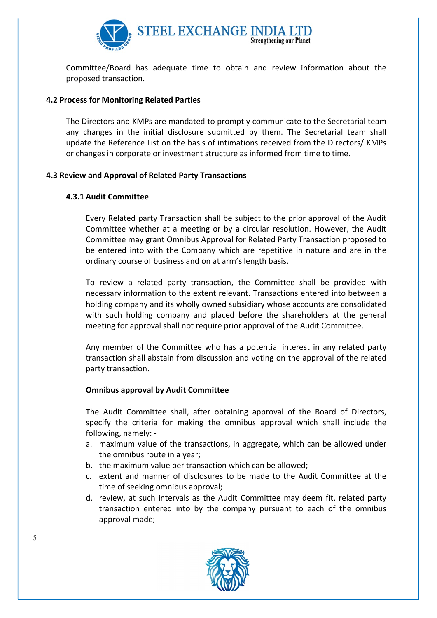

Committee/Board has adequate time to obtain and review information about the proposed transaction.

## 4.2 Process for Monitoring Related Parties

The Directors and KMPs are mandated to promptly communicate to the Secretarial team any changes in the initial disclosure submitted by them. The Secretarial team shall update the Reference List on the basis of intimations received from the Directors/ KMPs or changes in corporate or investment structure as informed from time to time.

### 4.3 Review and Approval of Related Party Transactions

#### 4.3.1 Audit Committee

Every Related party Transaction shall be subject to the prior approval of the Audit Committee whether at a meeting or by a circular resolution. However, the Audit Committee may grant Omnibus Approval for Related Party Transaction proposed to be entered into with the Company which are repetitive in nature and are in the ordinary course of business and on at arm's length basis.

To review a related party transaction, the Committee shall be provided with necessary information to the extent relevant. Transactions entered into between a holding company and its wholly owned subsidiary whose accounts are consolidated with such holding company and placed before the shareholders at the general meeting for approval shall not require prior approval of the Audit Committee.

Any member of the Committee who has a potential interest in any related party transaction shall abstain from discussion and voting on the approval of the related party transaction.

#### Omnibus approval by Audit Committee

The Audit Committee shall, after obtaining approval of the Board of Directors, specify the criteria for making the omnibus approval which shall include the following, namely: -

- a. maximum value of the transactions, in aggregate, which can be allowed under the omnibus route in a year;
- b. the maximum value per transaction which can be allowed;
- c. extent and manner of disclosures to be made to the Audit Committee at the time of seeking omnibus approval;
- d. review, at such intervals as the Audit Committee may deem fit, related party transaction entered into by the company pursuant to each of the omnibus approval made;

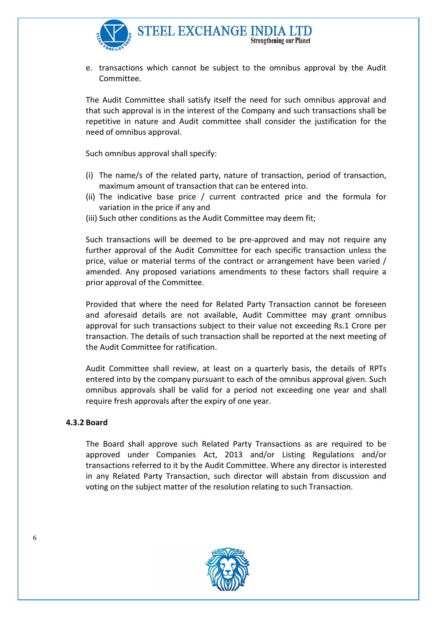

e. transactions which cannot be subject to the omnibus approval by the Audit Committee.

The Audit Committee shall satisfy itself the need for such omnibus approval and that such approval is in the interest of the Company and such transactions shall be repetitive in nature and Audit committee shall consider the justification for the need of omnibus approval.

Such omnibus approval shall specify:

- (i) The name/s of the related party, nature of transaction, period of transaction, maximum amount of transaction that can be entered into.
- (ii) The indicative base price / current contracted price and the formula for variation in the price if any and
- (iii) Such other conditions as the Audit Committee may deem fit;

Such transactions will be deemed to be pre-approved and may not require any further approval of the Audit Committee for each specific transaction unless the price, value or material terms of the contract or arrangement have been varied / amended. Any proposed variations amendments to these factors shall require a prior approval of the Committee.

Provided that where the need for Related Party Transaction cannot be foreseen and aforesaid details are not available, Audit Committee may grant omnibus approval for such transactions subject to their value not exceeding Rs.1 Crore per transaction. The details of such transaction shall be reported at the next meeting of the Audit Committee for ratification.

Audit Committee shall review, at least on a quarterly basis, the details of RPTs entered into by the company pursuant to each of the omnibus approval given. Such omnibus approvals shall be valid for a period not exceeding one year and shall require fresh approvals after the expiry of one year.

#### 4.3.2 Board

The Board shall approve such Related Party Transactions as are required to be approved under Companies Act, 2013 and/or Listing Regulations and/or transactions referred to it by the Audit Committee. Where any director is interested in any Related Party Transaction, such director will abstain from discussion and voting on the subject matter of the resolution relating to such Transaction.

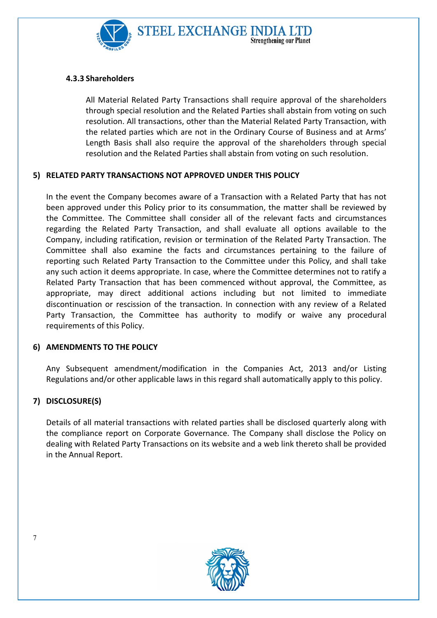

# 4.3.3 Shareholders

All Material Related Party Transactions shall require approval of the shareholders through special resolution and the Related Parties shall abstain from voting on such resolution. All transactions, other than the Material Related Party Transaction, with the related parties which are not in the Ordinary Course of Business and at Arms' Length Basis shall also require the approval of the shareholders through special resolution and the Related Parties shall abstain from voting on such resolution.

# 5) RELATED PARTY TRANSACTIONS NOT APPROVED UNDER THIS POLICY

In the event the Company becomes aware of a Transaction with a Related Party that has not been approved under this Policy prior to its consummation, the matter shall be reviewed by the Committee. The Committee shall consider all of the relevant facts and circumstances regarding the Related Party Transaction, and shall evaluate all options available to the Company, including ratification, revision or termination of the Related Party Transaction. The Committee shall also examine the facts and circumstances pertaining to the failure of reporting such Related Party Transaction to the Committee under this Policy, and shall take any such action it deems appropriate. In case, where the Committee determines not to ratify a Related Party Transaction that has been commenced without approval, the Committee, as appropriate, may direct additional actions including but not limited to immediate discontinuation or rescission of the transaction. In connection with any review of a Related Party Transaction, the Committee has authority to modify or waive any procedural requirements of this Policy.

## 6) AMENDMENTS TO THE POLICY

Any Subsequent amendment/modification in the Companies Act, 2013 and/or Listing Regulations and/or other applicable laws in this regard shall automatically apply to this policy.

# 7) DISCLOSURE(S)

Details of all material transactions with related parties shall be disclosed quarterly along with the compliance report on Corporate Governance. The Company shall disclose the Policy on dealing with Related Party Transactions on its website and a web link thereto shall be provided in the Annual Report.